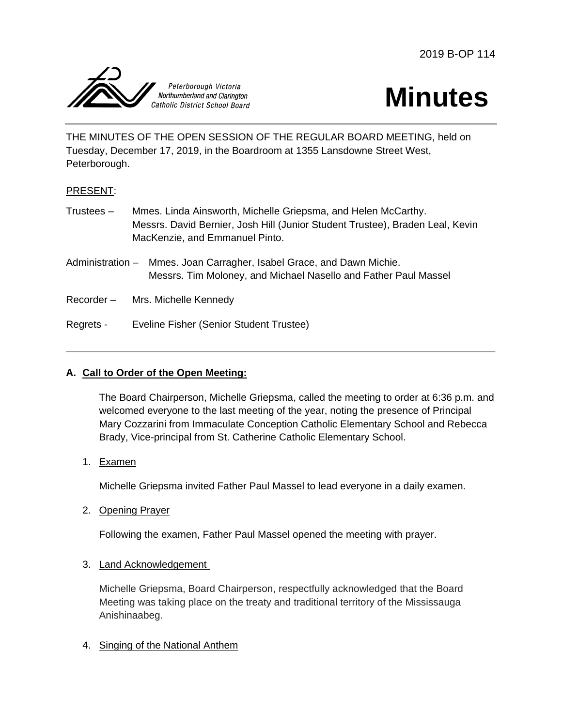2019 B-OP 114





THE MINUTES OF THE OPEN SESSION OF THE REGULAR BOARD MEETING, held on Tuesday, December 17, 2019, in the Boardroom at 1355 Lansdowne Street West, Peterborough.

## PRESENT:

- Trustees Mmes. Linda Ainsworth, Michelle Griepsma, and Helen McCarthy. Messrs. David Bernier, Josh Hill (Junior Student Trustee), Braden Leal, Kevin MacKenzie, and Emmanuel Pinto.
- Administration Mmes. Joan Carragher, Isabel Grace, and Dawn Michie. Messrs. Tim Moloney, and Michael Nasello and Father Paul Massel
- Recorder Mrs. Michelle Kennedy
- Regrets Eveline Fisher (Senior Student Trustee)

## **A. Call to Order of the Open Meeting:**

The Board Chairperson, Michelle Griepsma, called the meeting to order at 6:36 p.m. and welcomed everyone to the last meeting of the year, noting the presence of Principal Mary Cozzarini from Immaculate Conception Catholic Elementary School and Rebecca Brady, Vice-principal from St. Catherine Catholic Elementary School.

1. Examen

Michelle Griepsma invited Father Paul Massel to lead everyone in a daily examen.

2. Opening Prayer

Following the examen, Father Paul Massel opened the meeting with prayer.

3. Land Acknowledgement

Michelle Griepsma, Board Chairperson, respectfully acknowledged that the Board Meeting was taking place on the treaty and traditional territory of the Mississauga Anishinaabeg.

4. Singing of the National Anthem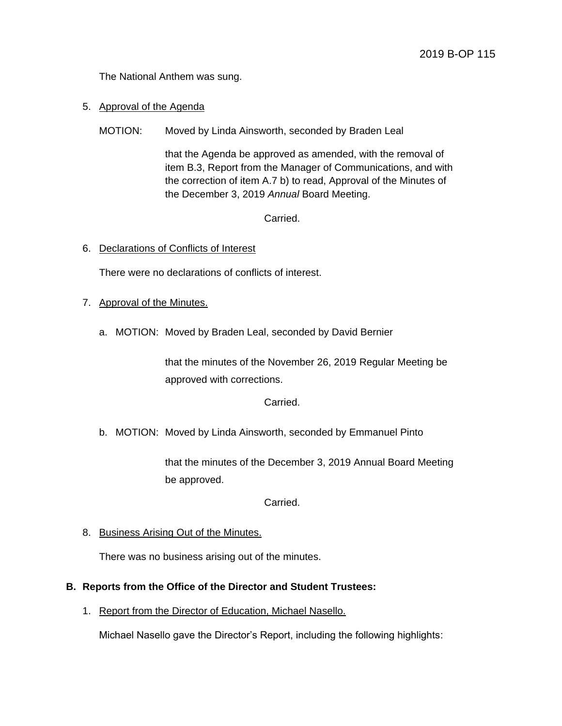The National Anthem was sung.

- 5. Approval of the Agenda
	- MOTION: Moved by Linda Ainsworth, seconded by Braden Leal

that the Agenda be approved as amended, with the removal of item B.3, Report from the Manager of Communications, and with the correction of item A.7 b) to read, Approval of the Minutes of the December 3, 2019 *Annual* Board Meeting.

Carried.

6. Declarations of Conflicts of Interest

There were no declarations of conflicts of interest.

- 7. Approval of the Minutes.
	- a. MOTION: Moved by Braden Leal, seconded by David Bernier

that the minutes of the November 26, 2019 Regular Meeting be approved with corrections.

Carried.

b. MOTION: Moved by Linda Ainsworth, seconded by Emmanuel Pinto

that the minutes of the December 3, 2019 Annual Board Meeting be approved.

Carried.

8. Business Arising Out of the Minutes.

There was no business arising out of the minutes.

#### **B. Reports from the Office of the Director and Student Trustees:**

1. Report from the Director of Education, Michael Nasello.

Michael Nasello gave the Director's Report, including the following highlights: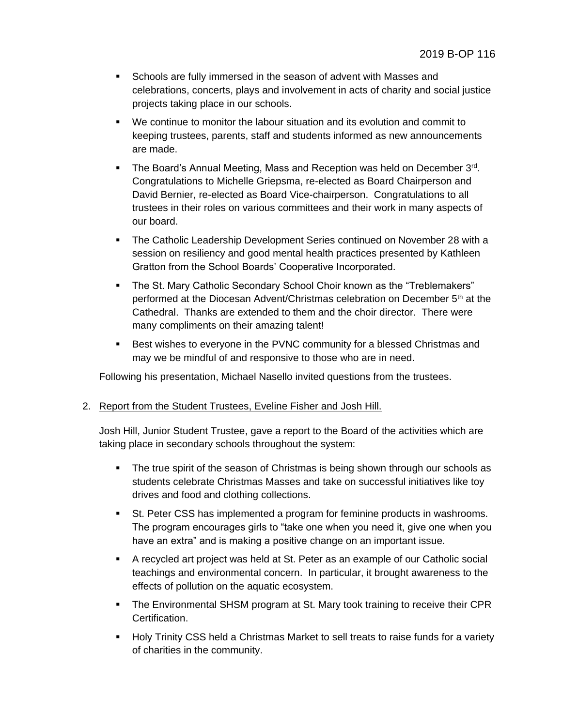- Schools are fully immersed in the season of advent with Masses and celebrations, concerts, plays and involvement in acts of charity and social justice projects taking place in our schools.
- We continue to monitor the labour situation and its evolution and commit to keeping trustees, parents, staff and students informed as new announcements are made.
- The Board's Annual Meeting, Mass and Reception was held on December 3rd. Congratulations to Michelle Griepsma, re-elected as Board Chairperson and David Bernier, re-elected as Board Vice-chairperson. Congratulations to all trustees in their roles on various committees and their work in many aspects of our board.
- **The Catholic Leadership Development Series continued on November 28 with a** session on resiliency and good mental health practices presented by Kathleen Gratton from the School Boards' Cooperative Incorporated.
- The St. Mary Catholic Secondary School Choir known as the "Treblemakers" performed at the Diocesan Advent/Christmas celebration on December 5th at the Cathedral. Thanks are extended to them and the choir director. There were many compliments on their amazing talent!
- **Best wishes to everyone in the PVNC community for a blessed Christmas and** may we be mindful of and responsive to those who are in need.

Following his presentation, Michael Nasello invited questions from the trustees.

#### 2. Report from the Student Trustees, Eveline Fisher and Josh Hill.

Josh Hill, Junior Student Trustee, gave a report to the Board of the activities which are taking place in secondary schools throughout the system:

- The true spirit of the season of Christmas is being shown through our schools as students celebrate Christmas Masses and take on successful initiatives like toy drives and food and clothing collections.
- **St. Peter CSS has implemented a program for feminine products in washrooms.** The program encourages girls to "take one when you need it, give one when you have an extra" and is making a positive change on an important issue.
- A recycled art project was held at St. Peter as an example of our Catholic social teachings and environmental concern. In particular, it brought awareness to the effects of pollution on the aquatic ecosystem.
- **The Environmental SHSM program at St. Mary took training to receive their CPR** Certification.
- **Holy Trinity CSS held a Christmas Market to sell treats to raise funds for a variety** of charities in the community.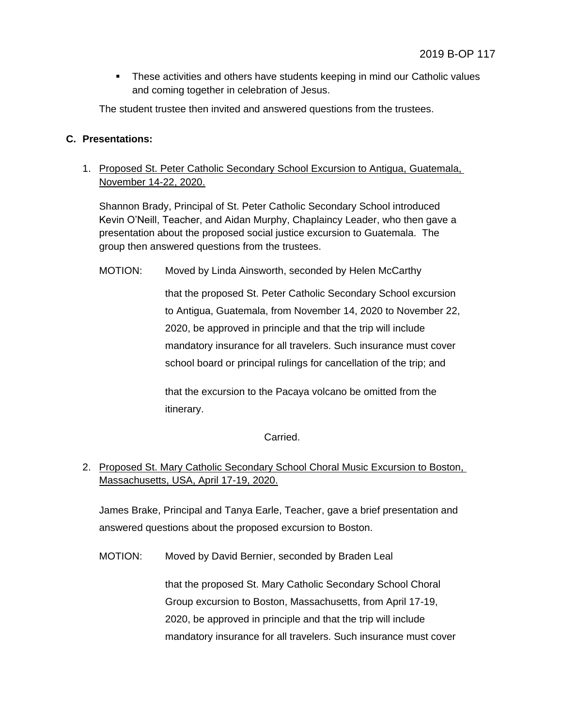These activities and others have students keeping in mind our Catholic values and coming together in celebration of Jesus.

The student trustee then invited and answered questions from the trustees.

### **C. Presentations:**

# 1. Proposed St. Peter Catholic Secondary School Excursion to Antigua, Guatemala, November 14-22, 2020.

Shannon Brady, Principal of St. Peter Catholic Secondary School introduced Kevin O'Neill, Teacher, and Aidan Murphy, Chaplaincy Leader, who then gave a presentation about the proposed social justice excursion to Guatemala. The group then answered questions from the trustees.

MOTION: Moved by Linda Ainsworth, seconded by Helen McCarthy

that the proposed St. Peter Catholic Secondary School excursion to Antigua, Guatemala, from November 14, 2020 to November 22, 2020, be approved in principle and that the trip will include mandatory insurance for all travelers. Such insurance must cover school board or principal rulings for cancellation of the trip; and

that the excursion to the Pacaya volcano be omitted from the itinerary.

Carried.

# 2. Proposed St. Mary Catholic Secondary School Choral Music Excursion to Boston, Massachusetts, USA, April 17-19, 2020.

James Brake, Principal and Tanya Earle, Teacher, gave a brief presentation and answered questions about the proposed excursion to Boston.

MOTION: Moved by David Bernier, seconded by Braden Leal

that the proposed St. Mary Catholic Secondary School Choral Group excursion to Boston, Massachusetts, from April 17-19, 2020, be approved in principle and that the trip will include mandatory insurance for all travelers. Such insurance must cover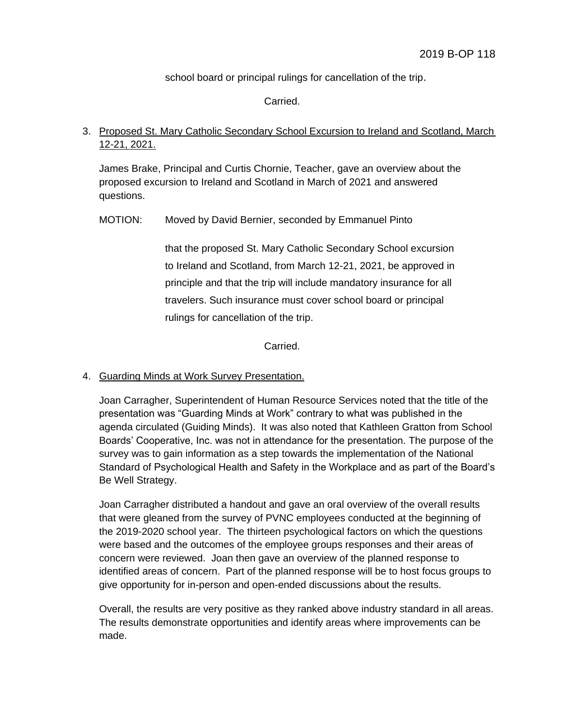school board or principal rulings for cancellation of the trip.

Carried.

# 3. Proposed St. Mary Catholic Secondary School Excursion to Ireland and Scotland, March 12-21, 2021.

James Brake, Principal and Curtis Chornie, Teacher, gave an overview about the proposed excursion to Ireland and Scotland in March of 2021 and answered questions.

MOTION: Moved by David Bernier, seconded by Emmanuel Pinto

that the proposed St. Mary Catholic Secondary School excursion to Ireland and Scotland, from March 12-21, 2021, be approved in principle and that the trip will include mandatory insurance for all travelers. Such insurance must cover school board or principal rulings for cancellation of the trip.

Carried.

#### 4. Guarding Minds at Work Survey Presentation.

Joan Carragher, Superintendent of Human Resource Services noted that the title of the presentation was "Guarding Minds at Work" contrary to what was published in the agenda circulated (Guiding Minds). It was also noted that Kathleen Gratton from School Boards' Cooperative, Inc. was not in attendance for the presentation. The purpose of the survey was to gain information as a step towards the implementation of the National Standard of Psychological Health and Safety in the Workplace and as part of the Board's Be Well Strategy.

Joan Carragher distributed a handout and gave an oral overview of the overall results that were gleaned from the survey of PVNC employees conducted at the beginning of the 2019-2020 school year. The thirteen psychological factors on which the questions were based and the outcomes of the employee groups responses and their areas of concern were reviewed. Joan then gave an overview of the planned response to identified areas of concern. Part of the planned response will be to host focus groups to give opportunity for in-person and open-ended discussions about the results.

Overall, the results are very positive as they ranked above industry standard in all areas. The results demonstrate opportunities and identify areas where improvements can be made.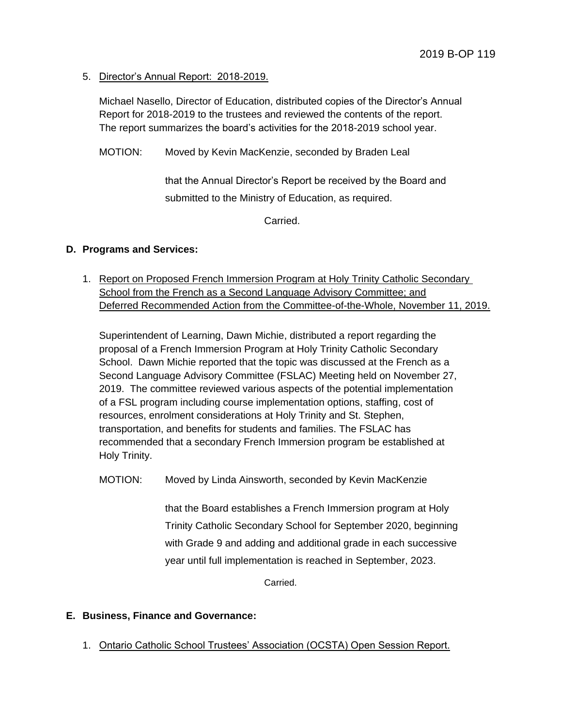5. Director's Annual Report: 2018-2019.

Michael Nasello, Director of Education, distributed copies of the Director's Annual Report for 2018-2019 to the trustees and reviewed the contents of the report. The report summarizes the board's activities for the 2018-2019 school year.

MOTION: Moved by Kevin MacKenzie, seconded by Braden Leal

that the Annual Director's Report be received by the Board and submitted to the Ministry of Education, as required.

Carried.

### **D. Programs and Services:**

1. Report on Proposed French Immersion Program at Holy Trinity Catholic Secondary School from the French as a Second Language Advisory Committee; and Deferred Recommended Action from the Committee-of-the-Whole, November 11, 2019.

Superintendent of Learning, Dawn Michie, distributed a report regarding the proposal of a French Immersion Program at Holy Trinity Catholic Secondary School. Dawn Michie reported that the topic was discussed at the French as a Second Language Advisory Committee (FSLAC) Meeting held on November 27, 2019. The committee reviewed various aspects of the potential implementation of a FSL program including course implementation options, staffing, cost of resources, enrolment considerations at Holy Trinity and St. Stephen, transportation, and benefits for students and families. The FSLAC has recommended that a secondary French Immersion program be established at Holy Trinity.

MOTION: Moved by Linda Ainsworth, seconded by Kevin MacKenzie

that the Board establishes a French Immersion program at Holy Trinity Catholic Secondary School for September 2020, beginning with Grade 9 and adding and additional grade in each successive year until full implementation is reached in September, 2023.

**Carried** 

## **E. Business, Finance and Governance:**

1. Ontario Catholic School Trustees' Association (OCSTA) Open Session Report.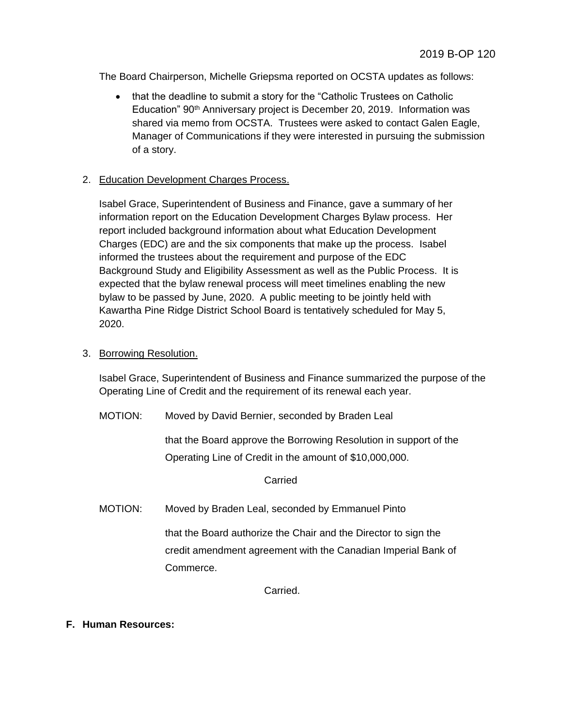The Board Chairperson, Michelle Griepsma reported on OCSTA updates as follows:

• that the deadline to submit a story for the "Catholic Trustees on Catholic Education" 90<sup>th</sup> Anniversary project is December 20, 2019. Information was shared via memo from OCSTA. Trustees were asked to contact Galen Eagle, Manager of Communications if they were interested in pursuing the submission of a story.

### 2. Education Development Charges Process.

Isabel Grace, Superintendent of Business and Finance, gave a summary of her information report on the Education Development Charges Bylaw process. Her report included background information about what Education Development Charges (EDC) are and the six components that make up the process. Isabel informed the trustees about the requirement and purpose of the EDC Background Study and Eligibility Assessment as well as the Public Process. It is expected that the bylaw renewal process will meet timelines enabling the new bylaw to be passed by June, 2020. A public meeting to be jointly held with Kawartha Pine Ridge District School Board is tentatively scheduled for May 5, 2020.

3. Borrowing Resolution.

Isabel Grace, Superintendent of Business and Finance summarized the purpose of the Operating Line of Credit and the requirement of its renewal each year.

MOTION: Moved by David Bernier, seconded by Braden Leal

that the Board approve the Borrowing Resolution in support of the Operating Line of Credit in the amount of \$10,000,000.

Carried

MOTION: Moved by Braden Leal, seconded by Emmanuel Pinto

that the Board authorize the Chair and the Director to sign the credit amendment agreement with the Canadian Imperial Bank of Commerce.

Carried.

**F. Human Resources:**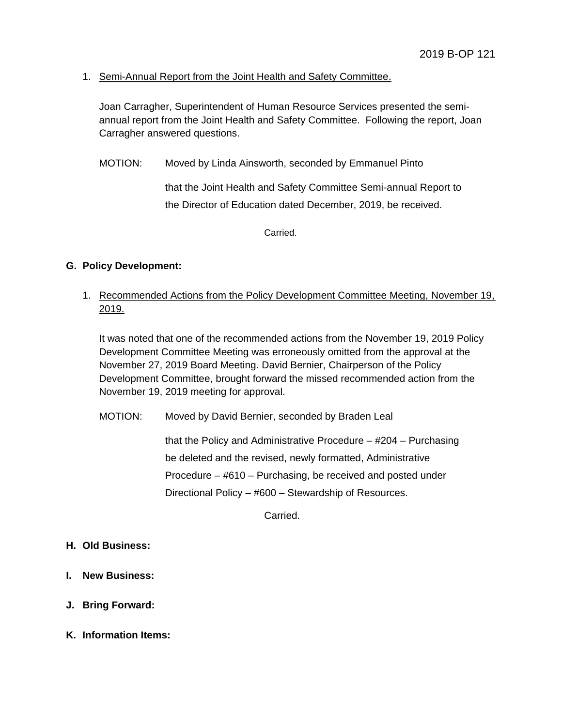## 1. Semi-Annual Report from the Joint Health and Safety Committee.

Joan Carragher, Superintendent of Human Resource Services presented the semiannual report from the Joint Health and Safety Committee. Following the report, Joan Carragher answered questions.

MOTION: Moved by Linda Ainsworth, seconded by Emmanuel Pinto

that the Joint Health and Safety Committee Semi-annual Report to the Director of Education dated December, 2019, be received.

Carried.

### **G. Policy Development:**

1. Recommended Actions from the Policy Development Committee Meeting, November 19, 2019.

It was noted that one of the recommended actions from the November 19, 2019 Policy Development Committee Meeting was erroneously omitted from the approval at the November 27, 2019 Board Meeting. David Bernier, Chairperson of the Policy Development Committee, brought forward the missed recommended action from the November 19, 2019 meeting for approval.

MOTION: Moved by David Bernier, seconded by Braden Leal

that the Policy and Administrative Procedure – #204 – Purchasing be deleted and the revised, newly formatted, Administrative Procedure – #610 – Purchasing, be received and posted under Directional Policy – #600 – Stewardship of Resources.

Carried.

### **H. Old Business:**

- **I. New Business:**
- **J. Bring Forward:**
- **K. Information Items:**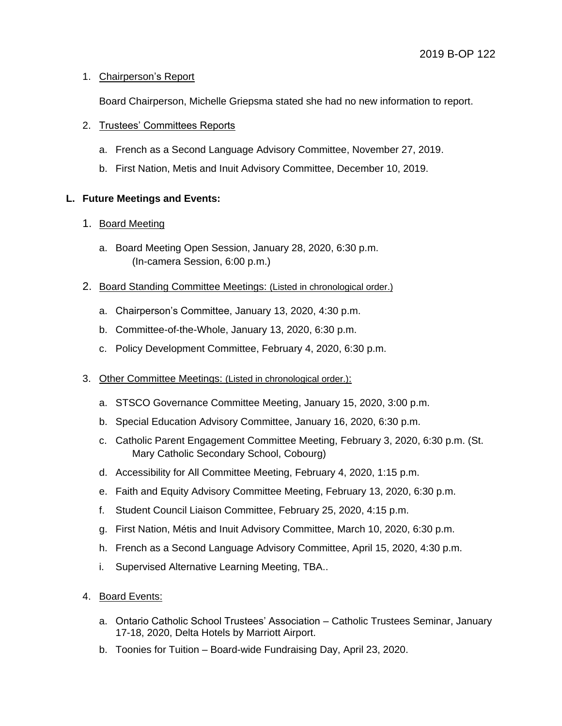## 1. Chairperson's Report

Board Chairperson, Michelle Griepsma stated she had no new information to report.

# 2. Trustees' Committees Reports

- a. French as a Second Language Advisory Committee, November 27, 2019.
- b. First Nation, Metis and Inuit Advisory Committee, December 10, 2019.

# **L. Future Meetings and Events:**

## 1. Board Meeting

- a. Board Meeting Open Session, January 28, 2020, 6:30 p.m. (In-camera Session, 6:00 p.m.)
- 2. Board Standing Committee Meetings: (Listed in chronological order.)
	- a. Chairperson's Committee, January 13, 2020, 4:30 p.m.
	- b. Committee-of-the-Whole, January 13, 2020, 6:30 p.m.
	- c. Policy Development Committee, February 4, 2020, 6:30 p.m.
- 3. Other Committee Meetings: (Listed in chronological order.):
	- a. STSCO Governance Committee Meeting, January 15, 2020, 3:00 p.m.
	- b. Special Education Advisory Committee, January 16, 2020, 6:30 p.m.
	- c. Catholic Parent Engagement Committee Meeting, February 3, 2020, 6:30 p.m. (St. Mary Catholic Secondary School, Cobourg)
	- d. Accessibility for All Committee Meeting, February 4, 2020, 1:15 p.m.
	- e. Faith and Equity Advisory Committee Meeting, February 13, 2020, 6:30 p.m.
	- f. Student Council Liaison Committee, February 25, 2020, 4:15 p.m.
	- g. First Nation, Métis and Inuit Advisory Committee, March 10, 2020, 6:30 p.m.
	- h. French as a Second Language Advisory Committee, April 15, 2020, 4:30 p.m.
	- i. Supervised Alternative Learning Meeting, TBA..
- 4. Board Events:
	- a. Ontario Catholic School Trustees' Association Catholic Trustees Seminar, January 17-18, 2020, Delta Hotels by Marriott Airport.
	- b. Toonies for Tuition Board-wide Fundraising Day, April 23, 2020.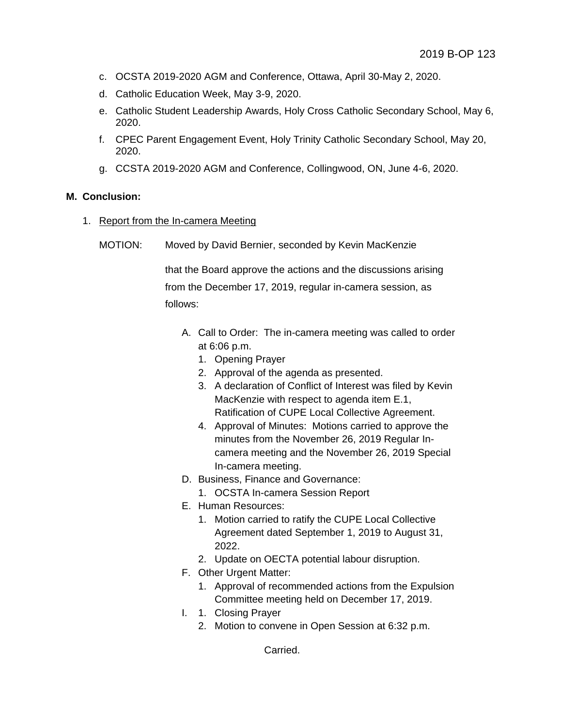- c. OCSTA 2019-2020 AGM and Conference, Ottawa, April 30-May 2, 2020.
- d. Catholic Education Week, May 3-9, 2020.
- e. Catholic Student Leadership Awards, Holy Cross Catholic Secondary School, May 6, 2020.
- f. CPEC Parent Engagement Event, Holy Trinity Catholic Secondary School, May 20, 2020.
- g. CCSTA 2019-2020 AGM and Conference, Collingwood, ON, June 4-6, 2020.

#### **M. Conclusion:**

- 1. Report from the In-camera Meeting
	- MOTION: Moved by David Bernier, seconded by Kevin MacKenzie

that the Board approve the actions and the discussions arising from the December 17, 2019, regular in-camera session, as follows:

- A. Call to Order: The in-camera meeting was called to order at 6:06 p.m.
	- 1. Opening Prayer
	- 2. Approval of the agenda as presented.
	- 3. A declaration of Conflict of Interest was filed by Kevin MacKenzie with respect to agenda item E.1, Ratification of CUPE Local Collective Agreement.
	- 4. Approval of Minutes: Motions carried to approve the minutes from the November 26, 2019 Regular Incamera meeting and the November 26, 2019 Special In-camera meeting.
- D. Business, Finance and Governance:
	- 1. OCSTA In-camera Session Report
- E. Human Resources:
	- 1. Motion carried to ratify the CUPE Local Collective Agreement dated September 1, 2019 to August 31, 2022.
	- 2. Update on OECTA potential labour disruption.
- F. Other Urgent Matter:
	- 1. Approval of recommended actions from the Expulsion Committee meeting held on December 17, 2019.
- I. 1. Closing Prayer
	- 2. Motion to convene in Open Session at 6:32 p.m.

Carried.